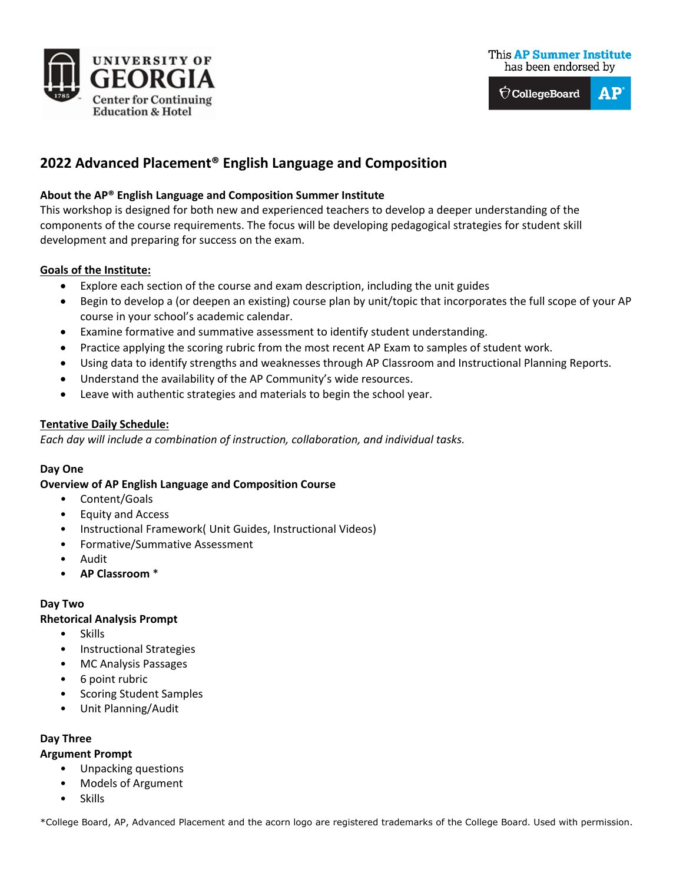





# **2022 Advanced Placement® English Language and Composition**

### **About the AP® English Language and Composition Summer Institute**

This workshop is designed for both new and experienced teachers to develop a deeper understanding of the components of the course requirements. The focus will be developing pedagogical strategies for student skill development and preparing for success on the exam.

#### **Goals of the Institute:**

- Explore each section of the course and exam description, including the unit guides
- Begin to develop a (or deepen an existing) course plan by unit/topic that incorporates the full scope of your AP course in your school's academic calendar.
- Examine formative and summative assessment to identify student understanding.
- Practice applying the scoring rubric from the most recent AP Exam to samples of student work.
- Using data to identify strengths and weaknesses through AP Classroom and Instructional Planning Reports.
- Understand the availability of the AP Community's wide resources.
- Leave with authentic strategies and materials to begin the school year.

#### **Tentative Daily Schedule:**

*Each day will include a combination of instruction, collaboration, and individual tasks.* 

## **Day One**

#### **Overview of AP English Language and Composition Course**

- Content/Goals
- Equity and Access
- Instructional Framework( Unit Guides, Instructional Videos)
- Formative/Summative Assessment
- Audit
- **AP Classroom** \*

#### **Day Two**

#### **Rhetorical Analysis Prompt**

- Skills
- Instructional Strategies
- MC Analysis Passages
- 6 point rubric
- Scoring Student Samples
- Unit Planning/Audit

## **Day Three**

#### **Argument Prompt**

- Unpacking questions
- Models of Argument
- Skills

\*College Board, AP, Advanced Placement and the acorn logo are registered trademarks of the College Board. Used with permission.